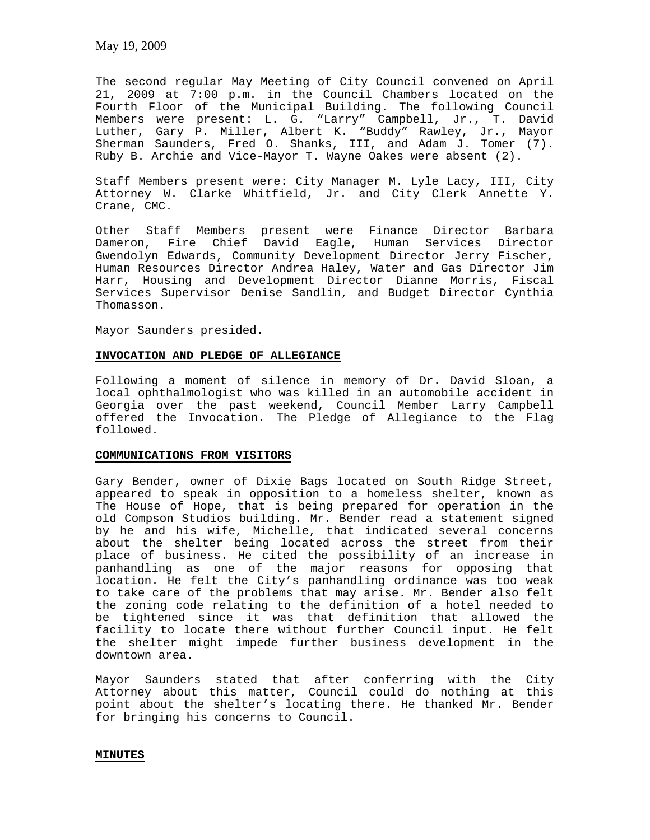The second regular May Meeting of City Council convened on April 21, 2009 at 7:00 p.m. in the Council Chambers located on the Fourth Floor of the Municipal Building. The following Council Members were present: L. G. "Larry" Campbell, Jr., T. David Luther, Gary P. Miller, Albert K. "Buddy" Rawley, Jr., Mayor Sherman Saunders, Fred O. Shanks, III, and Adam J. Tomer (7). Ruby B. Archie and Vice-Mayor T. Wayne Oakes were absent (2).

Staff Members present were: City Manager M. Lyle Lacy, III, City Attorney W. Clarke Whitfield, Jr. and City Clerk Annette Y. Crane, CMC.

Other Staff Members present were Finance Director Barbara Dameron, Fire Chief David Eagle, Human Services Director Gwendolyn Edwards, Community Development Director Jerry Fischer, Human Resources Director Andrea Haley, Water and Gas Director Jim Harr, Housing and Development Director Dianne Morris, Fiscal Services Supervisor Denise Sandlin, and Budget Director Cynthia Thomasson.

Mayor Saunders presided.

## **INVOCATION AND PLEDGE OF ALLEGIANCE**

Following a moment of silence in memory of Dr. David Sloan, a local ophthalmologist who was killed in an automobile accident in Georgia over the past weekend, Council Member Larry Campbell offered the Invocation. The Pledge of Allegiance to the Flag followed.

#### **COMMUNICATIONS FROM VISITORS**

Gary Bender, owner of Dixie Bags located on South Ridge Street, appeared to speak in opposition to a homeless shelter, known as The House of Hope, that is being prepared for operation in the old Compson Studios building. Mr. Bender read a statement signed by he and his wife, Michelle, that indicated several concerns about the shelter being located across the street from their place of business. He cited the possibility of an increase in panhandling as one of the major reasons for opposing that location. He felt the City's panhandling ordinance was too weak to take care of the problems that may arise. Mr. Bender also felt the zoning code relating to the definition of a hotel needed to be tightened since it was that definition that allowed the facility to locate there without further Council input. He felt the shelter might impede further business development in the downtown area.

Mayor Saunders stated that after conferring with the City Attorney about this matter, Council could do nothing at this point about the shelter's locating there. He thanked Mr. Bender for bringing his concerns to Council.

#### **MINUTES**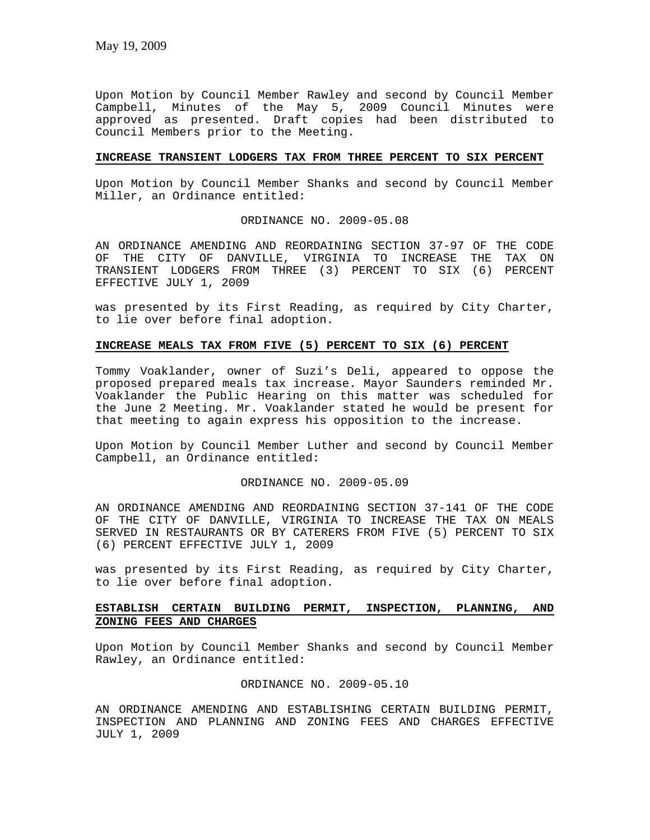Upon Motion by Council Member Rawley and second by Council Member Campbell, Minutes of the May 5, 2009 Council Minutes were approved as presented. Draft copies had been distributed to Council Members prior to the Meeting.

# **INCREASE TRANSIENT LODGERS TAX FROM THREE PERCENT TO SIX PERCENT**

Upon Motion by Council Member Shanks and second by Council Member Miller, an Ordinance entitled:

ORDINANCE NO. 2009-05.08

AN ORDINANCE AMENDING AND REORDAINING SECTION 37-97 OF THE CODE OF THE CITY OF DANVILLE, VIRGINIA TO INCREASE THE TAX ON TRANSIENT LODGERS FROM THREE (3) PERCENT TO SIX (6) PERCENT EFFECTIVE JULY 1, 2009

was presented by its First Reading, as required by City Charter, to lie over before final adoption.

# **INCREASE MEALS TAX FROM FIVE (5) PERCENT TO SIX (6) PERCENT**

Tommy Voaklander, owner of Suzi's Deli, appeared to oppose the proposed prepared meals tax increase. Mayor Saunders reminded Mr. Voaklander the Public Hearing on this matter was scheduled for the June 2 Meeting. Mr. Voaklander stated he would be present for that meeting to again express his opposition to the increase.

Upon Motion by Council Member Luther and second by Council Member Campbell, an Ordinance entitled:

# ORDINANCE NO. 2009-05.09

AN ORDINANCE AMENDING AND REORDAINING SECTION 37-141 OF THE CODE OF THE CITY OF DANVILLE, VIRGINIA TO INCREASE THE TAX ON MEALS SERVED IN RESTAURANTS OR BY CATERERS FROM FIVE (5) PERCENT TO SIX (6) PERCENT EFFECTIVE JULY 1, 2009

was presented by its First Reading, as required by City Charter, to lie over before final adoption.

# **ESTABLISH CERTAIN BUILDING PERMIT, INSPECTION, PLANNING, AND ZONING FEES AND CHARGES**

Upon Motion by Council Member Shanks and second by Council Member Rawley, an Ordinance entitled:

ORDINANCE NO. 2009-05.10

AN ORDINANCE AMENDING AND ESTABLISHING CERTAIN BUILDING PERMIT, INSPECTION AND PLANNING AND ZONING FEES AND CHARGES EFFECTIVE JULY 1, 2009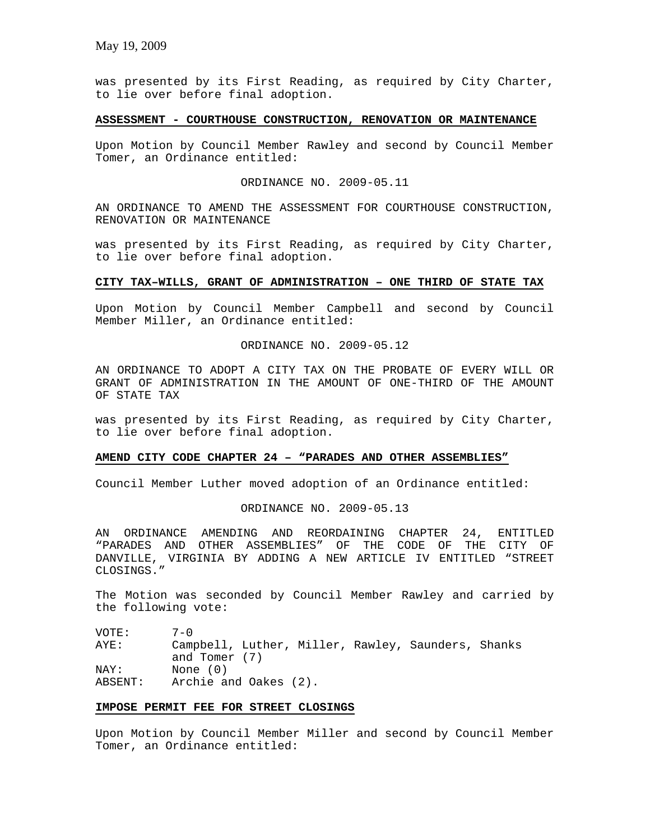was presented by its First Reading, as required by City Charter, to lie over before final adoption.

## **ASSESSMENT - COURTHOUSE CONSTRUCTION, RENOVATION OR MAINTENANCE**

Upon Motion by Council Member Rawley and second by Council Member Tomer, an Ordinance entitled:

ORDINANCE NO. 2009-05.11

AN ORDINANCE TO AMEND THE ASSESSMENT FOR COURTHOUSE CONSTRUCTION, RENOVATION OR MAINTENANCE

was presented by its First Reading, as required by City Charter, to lie over before final adoption.

#### **CITY TAX–WILLS, GRANT OF ADMINISTRATION – ONE THIRD OF STATE TAX**

Upon Motion by Council Member Campbell and second by Council Member Miller, an Ordinance entitled:

ORDINANCE NO. 2009-05.12

AN ORDINANCE TO ADOPT A CITY TAX ON THE PROBATE OF EVERY WILL OR GRANT OF ADMINISTRATION IN THE AMOUNT OF ONE-THIRD OF THE AMOUNT OF STATE TAX

was presented by its First Reading, as required by City Charter, to lie over before final adoption.

# **AMEND CITY CODE CHAPTER 24 – "PARADES AND OTHER ASSEMBLIES"**

Council Member Luther moved adoption of an Ordinance entitled:

#### ORDINANCE NO. 2009-05.13

AN ORDINANCE AMENDING AND REORDAINING CHAPTER 24, ENTITLED "PARADES AND OTHER ASSEMBLIES" OF THE CODE OF THE CITY OF DANVILLE, VIRGINIA BY ADDING A NEW ARTICLE IV ENTITLED "STREET CLOSINGS."

The Motion was seconded by Council Member Rawley and carried by the following vote:

VOTE: 7-0 AYE: Campbell, Luther, Miller, Rawley, Saunders, Shanks and Tomer (7) NAY: None (0) ABSENT: Archie and Oakes (2).

# **IMPOSE PERMIT FEE FOR STREET CLOSINGS**

Upon Motion by Council Member Miller and second by Council Member Tomer, an Ordinance entitled: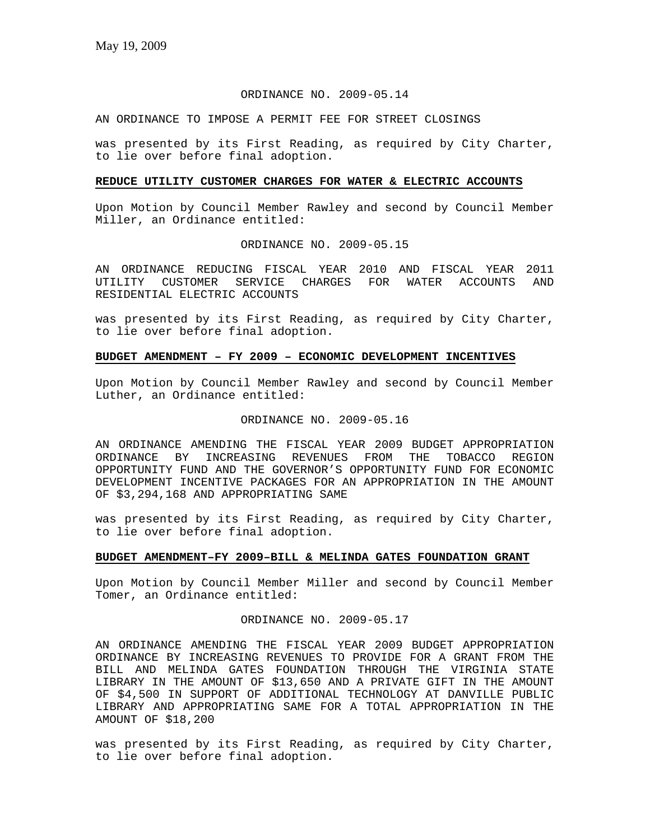# ORDINANCE NO. 2009-05.14

AN ORDINANCE TO IMPOSE A PERMIT FEE FOR STREET CLOSINGS

was presented by its First Reading, as required by City Charter, to lie over before final adoption.

#### **REDUCE UTILITY CUSTOMER CHARGES FOR WATER & ELECTRIC ACCOUNTS**

Upon Motion by Council Member Rawley and second by Council Member Miller, an Ordinance entitled:

## ORDINANCE NO. 2009-05.15

AN ORDINANCE REDUCING FISCAL YEAR 2010 AND FISCAL YEAR 2011 UTILITY CUSTOMER SERVICE CHARGES FOR WATER ACCOUNTS AND RESIDENTIAL ELECTRIC ACCOUNTS

was presented by its First Reading, as required by City Charter, to lie over before final adoption.

# **BUDGET AMENDMENT – FY 2009 – ECONOMIC DEVELOPMENT INCENTIVES**

Upon Motion by Council Member Rawley and second by Council Member Luther, an Ordinance entitled:

#### ORDINANCE NO. 2009-05.16

AN ORDINANCE AMENDING THE FISCAL YEAR 2009 BUDGET APPROPRIATION ORDINANCE BY INCREASING REVENUES FROM THE TOBACCO REGION OPPORTUNITY FUND AND THE GOVERNOR'S OPPORTUNITY FUND FOR ECONOMIC DEVELOPMENT INCENTIVE PACKAGES FOR AN APPROPRIATION IN THE AMOUNT OF \$3,294,168 AND APPROPRIATING SAME

was presented by its First Reading, as required by City Charter, to lie over before final adoption.

#### **BUDGET AMENDMENT–FY 2009–BILL & MELINDA GATES FOUNDATION GRANT**

Upon Motion by Council Member Miller and second by Council Member Tomer, an Ordinance entitled:

ORDINANCE NO. 2009-05.17

AN ORDINANCE AMENDING THE FISCAL YEAR 2009 BUDGET APPROPRIATION ORDINANCE BY INCREASING REVENUES TO PROVIDE FOR A GRANT FROM THE BILL AND MELINDA GATES FOUNDATION THROUGH THE VIRGINIA STATE LIBRARY IN THE AMOUNT OF \$13,650 AND A PRIVATE GIFT IN THE AMOUNT OF \$4,500 IN SUPPORT OF ADDITIONAL TECHNOLOGY AT DANVILLE PUBLIC LIBRARY AND APPROPRIATING SAME FOR A TOTAL APPROPRIATION IN THE AMOUNT OF \$18,200

was presented by its First Reading, as required by City Charter, to lie over before final adoption.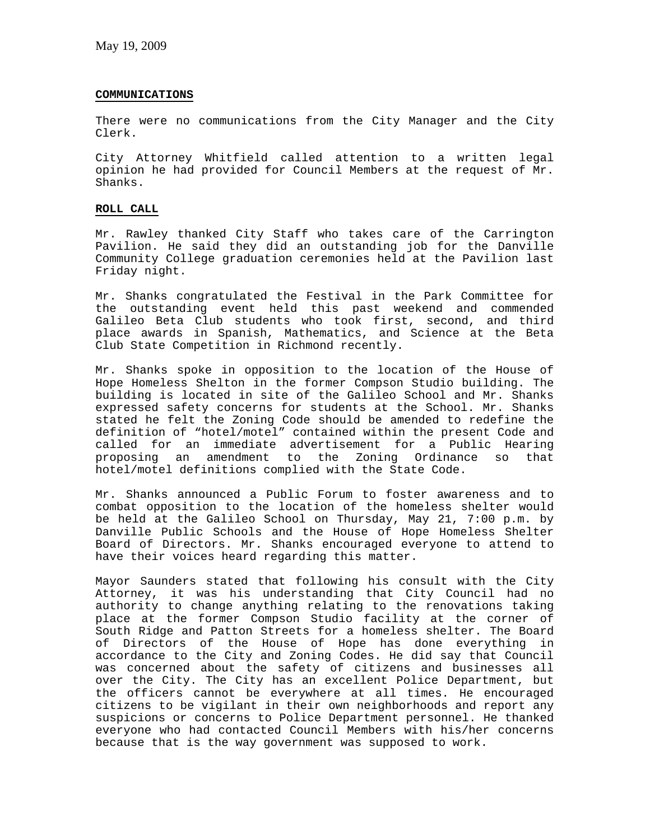# **COMMUNICATIONS**

There were no communications from the City Manager and the City Clerk.

City Attorney Whitfield called attention to a written legal opinion he had provided for Council Members at the request of Mr. Shanks.

# **ROLL CALL**

Mr. Rawley thanked City Staff who takes care of the Carrington Pavilion. He said they did an outstanding job for the Danville Community College graduation ceremonies held at the Pavilion last Friday night.

Mr. Shanks congratulated the Festival in the Park Committee for the outstanding event held this past weekend and commended Galileo Beta Club students who took first, second, and third place awards in Spanish, Mathematics, and Science at the Beta Club State Competition in Richmond recently.

Mr. Shanks spoke in opposition to the location of the House of Hope Homeless Shelton in the former Compson Studio building. The building is located in site of the Galileo School and Mr. Shanks expressed safety concerns for students at the School. Mr. Shanks stated he felt the Zoning Code should be amended to redefine the definition of "hotel/motel" contained within the present Code and called for an immediate advertisement for a Public Hearing proposing an amendment to the Zoning Ordinance so that hotel/motel definitions complied with the State Code.

Mr. Shanks announced a Public Forum to foster awareness and to combat opposition to the location of the homeless shelter would be held at the Galileo School on Thursday, May 21, 7:00 p.m. by Danville Public Schools and the House of Hope Homeless Shelter Board of Directors. Mr. Shanks encouraged everyone to attend to have their voices heard regarding this matter.

Mayor Saunders stated that following his consult with the City Attorney, it was his understanding that City Council had no authority to change anything relating to the renovations taking place at the former Compson Studio facility at the corner of South Ridge and Patton Streets for a homeless shelter. The Board of Directors of the House of Hope has done everything in accordance to the City and Zoning Codes. He did say that Council was concerned about the safety of citizens and businesses all over the City. The City has an excellent Police Department, but the officers cannot be everywhere at all times. He encouraged citizens to be vigilant in their own neighborhoods and report any suspicions or concerns to Police Department personnel. He thanked everyone who had contacted Council Members with his/her concerns because that is the way government was supposed to work.